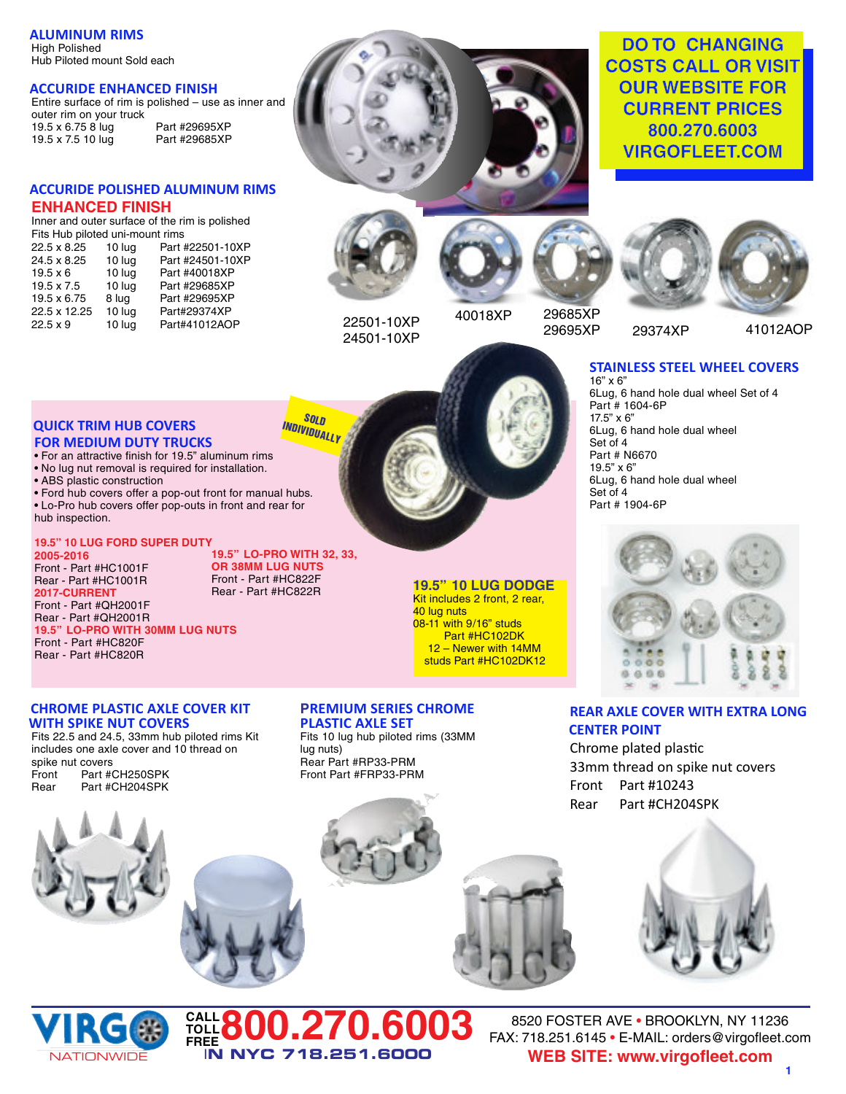#### **ALUMINUM RIMS** High Polished Hub Piloted mount Sold each

### **ACCURIDE ENHANCED FINISH**

Entire surface of rim is polished – use as inner and outer rim on your truck 19.5 x 6.75 8 lug Part #29695XP<br>19.5 x 7.5 10 lug Part #29685XP 19.5 x 7.5 10 lug

# **ACCURIDE POLISHED ALUMINUM RIMS ENHANCED FINISH**

Inner and outer surface of the rim is polished

| Fits Hub piloted uni-mount rims |        |                  |  |  |  |
|---------------------------------|--------|------------------|--|--|--|
| 22.5 x 8.25                     | 10 lug | Part #22501-10XP |  |  |  |
| 24.5 x 8.25                     | 10 lug | Part #24501-10XP |  |  |  |
| $19.5 \times 6$                 | 10 lug | Part #40018XP    |  |  |  |
| $19.5 \times 7.5$               | 10 lug | Part #29685XP    |  |  |  |
| 19.5 x 6.75                     | 8 lug  | Part #29695XP    |  |  |  |
| 22.5 x 12.25                    | 10 lug | Part#29374XP     |  |  |  |
| $22.5 \times 9$                 | 10 lug | Part#41012AOP    |  |  |  |
|                                 |        |                  |  |  |  |

**QUICK TRIM HUB COVERS FOR MEDIUM DUTY TRUCKS**

**19.5" 10 LUG FORD SUPER DUTY**

**19.5" LO-PRO WITH 30MM LUG NUTS**

**CHROME PLASTIC AXLE COVER KIT**

Fits 22.5 and 24.5, 33mm hub piloted rims Kit includes one axle cover and 10 thread on

**WITH SPIKE NUT COVERS**

Part #CH250SPK

• ABS plastic construction

Front - Part #HC1001F Rear - Part #HC1001R **2017-CURRENT** Front - Part #QH2001F Rear - Part #QH2001R

Front - Part #HC820F Rear - Part #HC820R

spike nut covers<br>Front Part #0

hub inspection.

**2005-2016**

• For an attractive finish for 19.5" aluminum rims • No lug nut removal is required for installation.

• Ford hub covers offer a pop-out front for manual hubs. • Lo-Pro hub covers offer pop-outs in front and rear for



**DO TO CHANGING COSTS CALL OR VISIT OUR WEBSITE FOR CURRENT PRICES 800.270.6003 VIRGOFLEET.COM**





Rear - Part #HC822R **19.5" 10 LUG DODGE** Kit includes 2 front, 2 rear,

08-11 with 9/16" studs Part #HC102DK 12 – Newer with 14MM studs Part #HC102DK12

40 lug nuts

22501-10XP 24501-10XP

**SOLD INDIVIDUALLY**

**19.5" LO-PRO WITH 32, 33, OR 38MM LUG NUTS** Front - Part #HC822F

29685XP

29695XP 41012AOP

#### **STAINLESS STEEL WHEEL COVERS** 16" x 6"

29374XP

6Lug, 6 hand hole dual wheel Set of 4 Part # 1604-6P 17.5" x 6" 6Lug, 6 hand hole dual wheel Set of 4 Part # N6670 19.5" x 6" 6Lug, 6 hand hole dual wheel Set of 4 Part # 1904-6P



## **REAR AXLE COVER WITH EXTRA LONG CENTER POINT**

Chrome plated plastic 33mm thread on spike nut covers Front Part #10243 Rear Part #CH204SPK



Rear Part #CH204SPK

#### **PREMIUM SERIES CHROME PLASTIC AXLE SET**

Fits 10 lug hub piloted rims (33MM lug nuts) Rear Part #RP33-PRM Front Part #FRP33-PRM











8520 FOSTER AVE • BROOKLYN, NY 11236 FAX: 718.251.6145 • E-MAIL: orders@virgofleet.com **WEB SITE: www.virgofleet.com**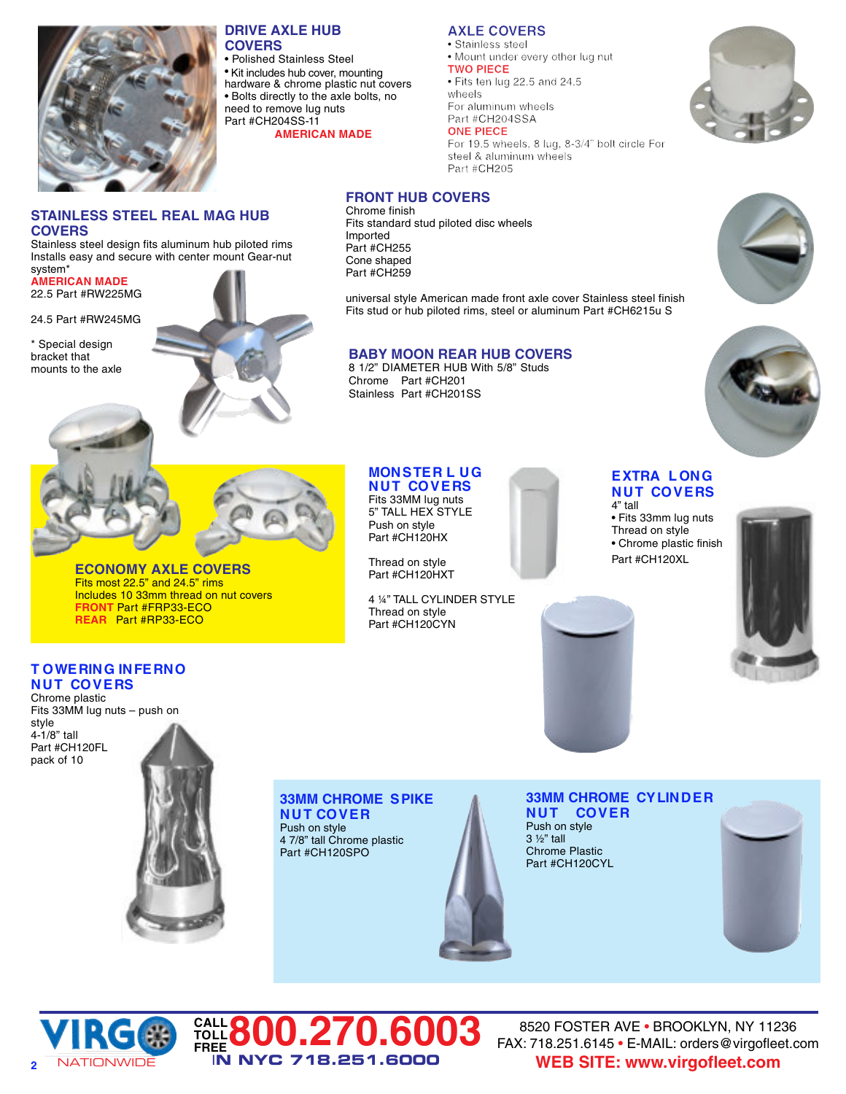

**COVERS**

**AMERICAN MADE** 22.5 Part #RW225MG 24.5 Part #RW245MG

\* Special design bracket that mounts to the axle

system\*

**STAINLESS STEEL REAL MAG HUB**

Stainless steel design fits aluminum hub piloted rims Installs easy and secure with center mount Gear-nut

### **DRIVE AXLE HUB COVERS**

• Polished Stainless Steel • Kit includes hub cover, mounting hardware & chrome plastic nut covers • Bolts directly to the axle bolts, no need to remove lug nuts Part #CH204SS-11

**AMERICAN MADE**

# **AXLE COVERS**

**TWO PIECE**

• Fits ten lug 22.5 and 24.5

For aluminum wheels

# **ONE PIECE**

For 19.5 wheels, 8 lug, 8-3/4" bolt circle For Part #CH205

# **FRONT HUB COVERS**

Chrome finish Fits standard stud piloted disc wheels Imported Part #CH255 Cone shaped Part #CH259

universal style American made front axle cover Stainless steel finish Fits stud or hub piloted rims, steel or aluminum Part #CH6215u S

# **BABY MOON REAR HUB COVERS**

8 1/2" DIAMETER HUB With 5/8" Studs Chrome Part #CH201 Stainless Part #CH201SS

**MONSTER L UG N UT COVERS** Fits 33MM lug nuts 5" TALL HEX STYLE Push on style Part #CH120HX Thread on style Part #CH120HXT

4 ¼" TALL CYLINDER STYLE

Thread on style Part #CH120CYN







# **EXTRA L ONG N UT COVERS**

4" tall • Fits 33mm lug nuts Thread on style • Chrome plastic finish Part #CH120XL



## **T OWERING INFERNO N UT COVERS**

Chrome plastic Fits 33MM lug nuts – push on style 4-1/8" tall Part #CH120FL pack of 10



**ECONOMY AXLE COVERS** Fits most 22.5" and 24.5" rims Includes 10 33mm thread on nut covers

**FRONT** Part #FRP33-ECO **REAR** Part #RP33-ECO

## **33MM CHROME SPIKE N UT COVER**

Push on style 4 7/8" tall Chrome plastic Part #CH120SPO









8520 FOSTER AVE • BROOKLYN, NY 11236 FAX: 718.251.6145 • E-MAIL: orders@virgofleet.com **WEB SITE: www.virgofleet.com**

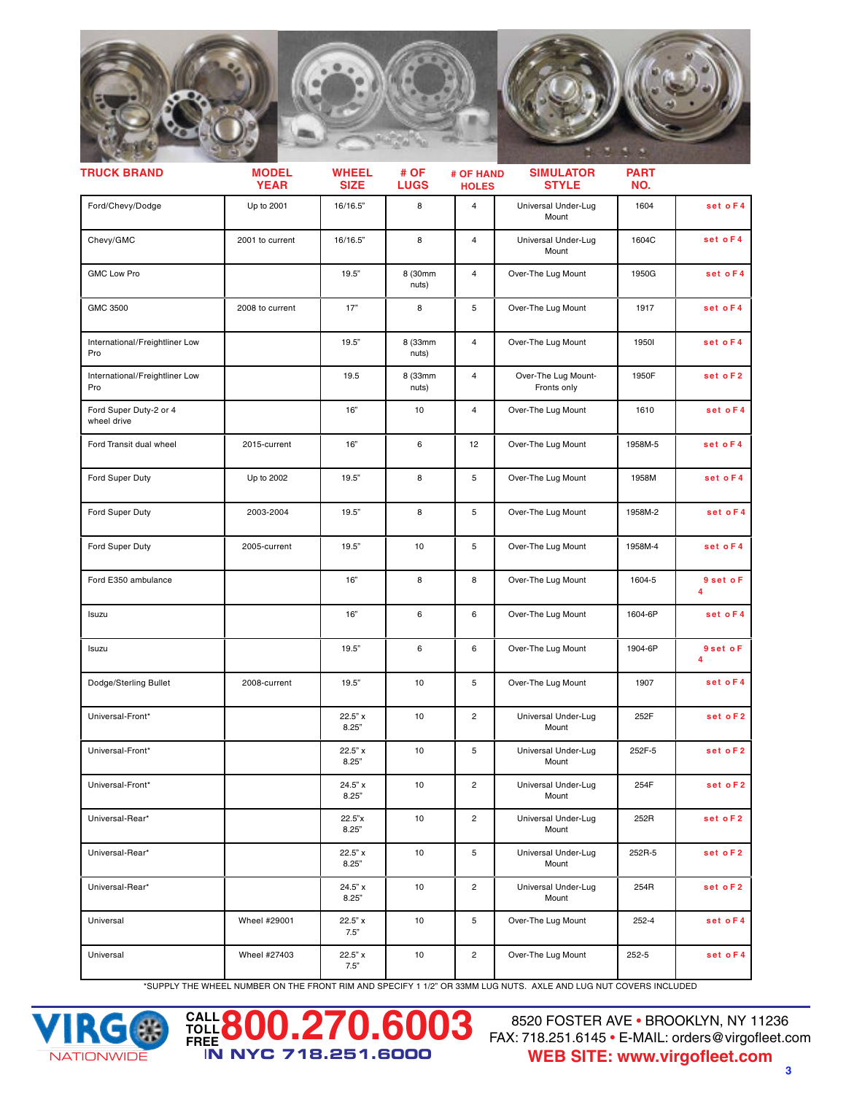

| <b>MODEL</b><br><b>YEAR</b> | <b>WHEEL</b><br><b>SIZE</b> | # OF<br><b>LUGS</b> | <b>HOLES</b>   | <b>SIMULATOR</b><br><b>STYLE</b>   | <b>PART</b><br>NO. |                |
|-----------------------------|-----------------------------|---------------------|----------------|------------------------------------|--------------------|----------------|
| Up to 2001                  | 16/16.5"                    | 8                   | $\overline{4}$ | Universal Under-Lug<br>Mount       | 1604               | set o F4       |
| 2001 to current             | 16/16.5"                    | 8                   | $\overline{4}$ | Universal Under-Lug<br>Mount       | 1604C              | set oF4        |
|                             | 19.5"                       | 8 (30mm<br>nuts)    | $\overline{4}$ | Over-The Lug Mount                 | 1950G              | set oF4        |
| 2008 to current             | 17"                         | 8                   | 5              | Over-The Lug Mount                 | 1917               | set oF4        |
|                             | 19.5"                       | 8 (33mm<br>nuts)    | $\overline{4}$ | Over-The Lug Mount                 | 19501              | set o F4       |
|                             | 19.5                        | 8 (33mm<br>nuts)    | 4              | Over-The Lug Mount-<br>Fronts only | 1950F              | set o F2       |
|                             | 16"                         | 10                  | $\overline{4}$ | Over-The Lug Mount                 | 1610               | set oF4        |
| 2015-current                | 16"                         | 6                   | 12             | Over-The Lug Mount                 | 1958M-5            | set oF4        |
| Up to 2002                  | 19.5"                       | 8                   | 5              | Over-The Lug Mount                 | 1958M              | set oF4        |
| 2003-2004                   | 19.5"                       | 8                   | 5              | Over-The Lug Mount                 | 1958M-2            | set o F4       |
| 2005-current                | 19.5"                       | 10                  | 5              | Over-The Lug Mount                 | 1958M-4            | set o F4       |
|                             | 16"                         | 8                   | 8              | Over-The Lug Mount                 | 1604-5             | 9 set o F<br>4 |
|                             | 16"                         | 6                   | 6              | Over-The Lug Mount                 | 1604-6P            | set oF4        |
|                             | 19.5"                       | 6                   | 6              | Over-The Lug Mount                 | 1904-6P            | 9 set o F<br>4 |
| 2008-current                | 19.5"                       | 10                  | 5              | Over-The Lug Mount                 | 1907               | set oF4        |
|                             | 22.5" x<br>8.25"            | 10                  | $\overline{c}$ | Universal Under-Lug<br>Mount       | 252F               | set o F2       |
|                             | 22.5" x<br>8.25"            | 10                  | 5              | Universal Under-Lug<br>Mount       | 252F-5             | set oF2        |
|                             | 24.5"x<br>8.25"             | 10                  | $\overline{c}$ | Universal Under-Lug<br>Mount       | 254F               | set of 2       |
|                             | 22.5"x<br>8.25"             | 10                  | $\mathbf{2}$   | Universal Under-Lug<br>Mount       | 252R               | set o F2       |
|                             | 22.5" x<br>8.25"            | 10                  | 5              | Universal Under-Lug<br>Mount       | 252R-5             | set o F2       |
|                             | 24.5" x<br>8.25"            | 10                  | $\overline{2}$ | Universal Under-Lug<br>Mount       | 254R               | set o F2       |
| Wheel #29001                | 22.5" x<br>7.5"             | 10                  | 5              | Over-The Lug Mount                 | 252-4              | set o F4       |
| Wheel #27403                | 22.5" x<br>7.5"             | 10                  | $\overline{2}$ | Over-The Lug Mount                 | 252-5              | set o F4       |
|                             |                             |                     |                |                                    | # OF HAND          |                |

\*SUPPLY THE WHEEL NUMBER ON THE FRONT RIM AND SPECIFY 1 1/2" OR 33MM LUG NUTS. AXLE AND LUG NUT COVERS INCLUDED

**FREE800.270.6003**

I**N NYC 718.251.6000**



**CALL TOLL**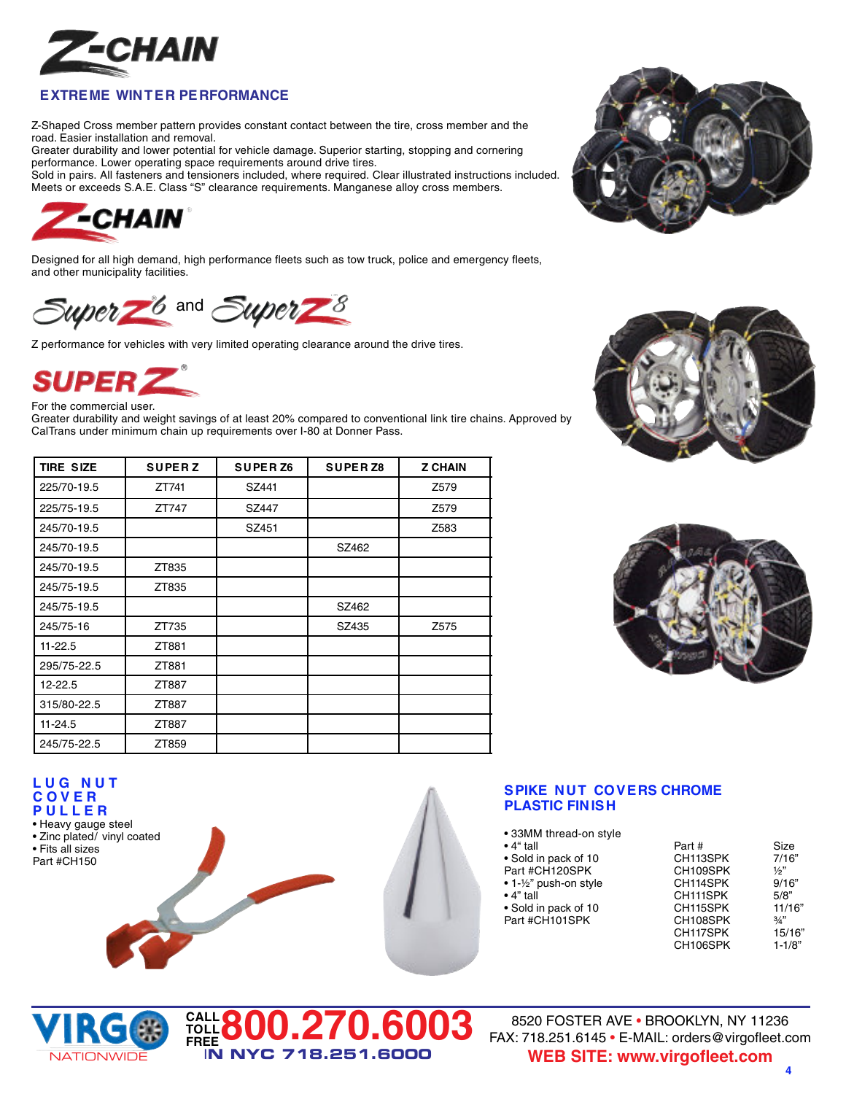

# **EXTREME WINTER PERFORMANCE**

Z-Shaped Cross member pattern provides constant contact between the tire, cross member and the road. Easier installation and removal.

Greater durability and lower potential for vehicle damage. Superior starting, stopping and cornering performance. Lower operating space requirements around drive tires.

Sold in pairs. All fasteners and tensioners included, where required. Clear illustrated instructions included. Meets or exceeds S.A.E. Class "S" clearance requirements. Manganese alloy cross members.



Designed for all high demand, high performance fleets such as tow truck, police and emergency fleets, and other municipality facilities.



Z performance for vehicles with very limited operating clearance around the drive tires.



For the commercial user.

Greater durability and weight savings of at least 20% compared to conventional link tire chains. Approved by CalTrans under minimum chain up requirements over I-80 at Donner Pass.

**FREE800.270.6003**

I**N NYC 718.251.6000**

| <b>TIRE SIZE</b> | <b>SUPERZ</b> | <b>SUPER Z6</b> | <b>SUPERZ8</b> | <b>Z CHAIN</b>   |
|------------------|---------------|-----------------|----------------|------------------|
| 225/70-19.5      | ZT741         | SZ441           |                | Z579             |
| 225/75-19.5      | ZT747         | SZ447           |                | Z579             |
| 245/70-19.5      |               | SZ451           |                | Z583             |
| 245/70-19.5      |               |                 | SZ462          |                  |
| 245/70-19.5      | ZT835         |                 |                |                  |
| 245/75-19.5      | ZT835         |                 |                |                  |
| 245/75-19.5      |               |                 | SZ462          |                  |
| 245/75-16        | ZT735         |                 | SZ435          | Z <sub>575</sub> |
| $11 - 22.5$      | ZT881         |                 |                |                  |
| 295/75-22.5      | ZT881         |                 |                |                  |
| $12 - 22.5$      | ZT887         |                 |                |                  |
| 315/80-22.5      | ZT887         |                 |                |                  |
| $11 - 24.5$      | ZT887         |                 |                |                  |
| 245/75-22.5      | ZT859         |                 |                |                  |



# **SPIKE NUT COVERS CHROME PLASTIC FINISH**

| $\bullet$ 4" tall      | Part #   | Size          |
|------------------------|----------|---------------|
| • Sold in pack of 10   | CH113SPK | 7/16"         |
| Part #CH120SPK         | CH109SPK | $\frac{1}{2}$ |
| • 1-1/2" push-on style | CH114SPK | 9/16"         |
| $\bullet$ 4" tall      | CH111SPK | 5/8"          |
| • Sold in pack of 10   | CH115SPK | 11/16"        |
| Part #CH101SPK         | CH108SPK | 3/4"          |
|                        | CH117SPK | 15/16"        |
|                        | CH106SPK | $1 - 1/8"$    |



**L U G N U T C O V E R P U L L E R** • Heavy gauge steel • Zinc plated/ vinyl coated

• Fits all sizes Part #CH150

> 8520 FOSTER AVE • BROOKLYN, NY 11236 FAX: 718.251.6145 • E-MAIL: orders@virgofleet.com **WEB SITE: www.virgofleet.com**